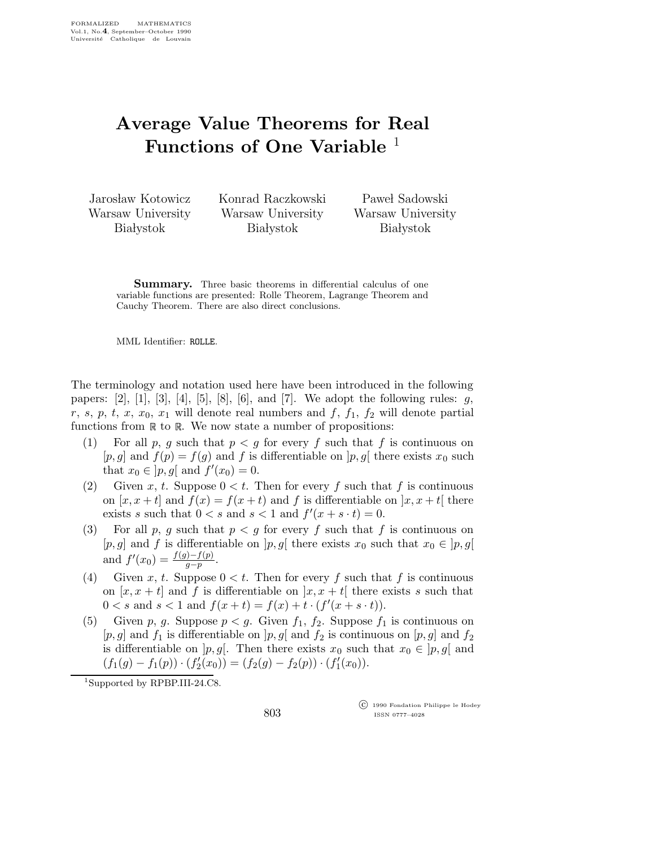## Average Value Theorems for Real Functions of One Variable <sup>1</sup>

Jarosław Kotowicz Warsaw University **Białystok** 

Konrad Raczkowski Warsaw University **Białystok** 

Paweł Sadowski Warsaw University **Białystok** 

**Summary.** Three basic theorems in differential calculus of one variable functions are presented: Rolle Theorem, Lagrange Theorem and Cauchy Theorem. There are also direct conclusions.

MML Identifier: ROLLE.

The terminology and notation used here have been introduced in the following papers:  $[2]$ ,  $[1]$ ,  $[3]$ ,  $[4]$ ,  $[5]$ ,  $[8]$ ,  $[6]$ , and  $[7]$ . We adopt the following rules:  $g$ , r, s, p, t, x,  $x_0$ ,  $x_1$  will denote real numbers and f,  $f_1$ ,  $f_2$  will denote partial functions from  $\mathbb R$  to  $\mathbb R$ . We now state a number of propositions:

- (1) For all p, q such that  $p < q$  for every f such that f is continuous on [p, g] and  $f(p) = f(q)$  and f is differentiable on [p, g] there exists  $x_0$  such that  $x_0 \in ]p, g[$  and  $f'(x_0) = 0$ .
- (2) Given x, t. Suppose  $0 < t$ . Then for every f such that f is continuous on  $[x, x+t]$  and  $f(x) = f(x+t)$  and f is differentiable on  $[x, x+t]$  there exists s such that  $0 < s$  and  $s < 1$  and  $f'(x + s \cdot t) = 0$ .
- (3) For all p, g such that  $p < g$  for every f such that f is continuous on [p, g] and f is differentiable on  $[p,g]$  there exists  $x_0$  such that  $x_0 \in [p,g]$ and  $f'(x_0) = \frac{f(g) - f(p)}{g - p}$ .
- (4) Given x, t. Suppose  $0 < t$ . Then for every f such that f is continuous on  $[x, x + t]$  and f is differentiable on  $[x, x + t]$  there exists s such that  $0 < s$  and  $s < 1$  and  $f(x + t) = f(x) + t \cdot (f'(x + s \cdot t)).$
- (5) Given p, g. Suppose  $p < g$ . Given  $f_1, f_2$ . Suppose  $f_1$  is continuous on  $[p,g]$  and  $f_1$  is differentiable on  $[p,g]$  and  $f_2$  is continuous on  $[p,g]$  and  $f_2$ is differentiable on  $[p,g]$ . Then there exists  $x_0$  such that  $x_0 \in [p,g]$  and  $(f_1(g) - f_1(p)) \cdot (f'_2)$  $\chi_2'(x_0) = (f_2(g) - f_2(p)) \cdot (f_1'$  $I_1'(x_0)).$

<sup>1</sup>Supported by RPBP.III-24.C8.

 c 1990 Fondation Philippe le Hodey ISSN 0777–4028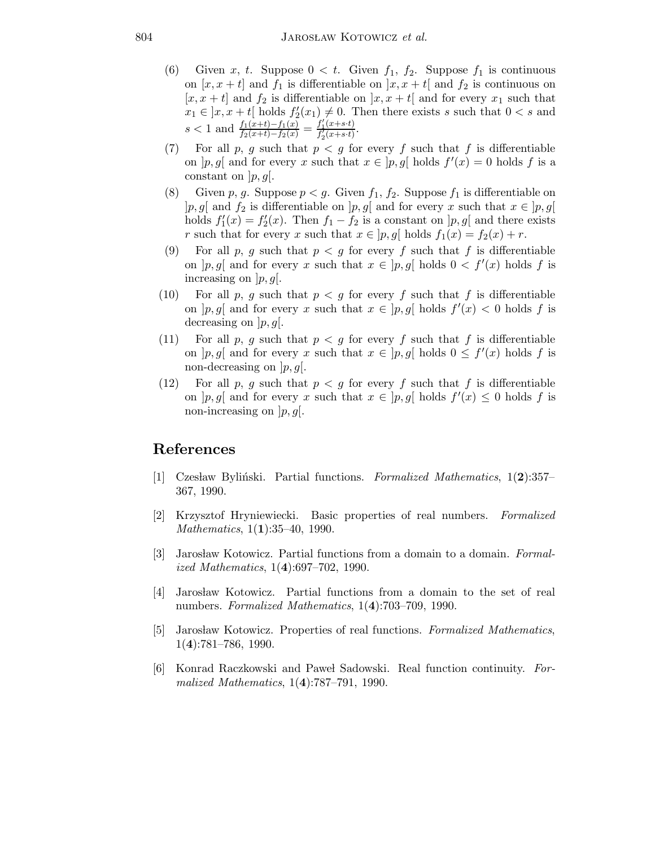- (6) Given x, t. Suppose  $0 < t$ . Given  $f_1, f_2$ . Suppose  $f_1$  is continuous on  $[x, x + t]$  and  $f_1$  is differentiable on  $[x, x + t]$  and  $f_2$  is continuous on  $[x, x + t]$  and  $f_2$  is differentiable on  $[x, x + t]$  and for every  $x_1$  such that  $x_1 \in \left] x, x+t \right[$  holds  $f_2'$  $2'(x_1) \neq 0$ . Then there exists s such that  $0 < s$  and  $s < 1$  and  $\frac{f_1(x+t)-f_1(x)}{f_2(x+t)-f_2(x)} = \frac{f'_1(x+s\cdot t)}{f'_2(x+s\cdot t)}$  $\frac{f_1(x+s\cdot t)}{f_2'(x+s\cdot t)}$ .
- (7) For all p, g such that  $p < g$  for every f such that f is differentiable on  $[p, g]$  and for every x such that  $x \in [p, g]$  holds  $f'(x) = 0$  holds f is a constant on  $|p,g|$ .
- (8) Given p, g. Suppose  $p < g$ . Given  $f_1, f_2$ . Suppose  $f_1$  is differentiable on |p, g[ and  $f_2$  is differentiable on  $[p,g]$  and for every x such that  $x \in [p,g]$  $\frac{1}{2}$  holds  $f_1'$  $f_1'(x) = f_2'$  $j_2'(x)$ . Then  $f_1 - f_2$  is a constant on  $[p, g]$  and there exists r such that for every x such that  $x \in [p, g]$  holds  $f_1(x) = f_2(x) + r$ .
- (9) For all p, g such that  $p < g$  for every f such that f is differentiable on  $[p, g]$  and for every x such that  $x \in [p, g]$  holds  $0 \lt f'(x)$  holds f is increasing on  $|p,g|$ .
- (10) For all p, g such that  $p < g$  for every f such that f is differentiable on  $[p, g]$  and for every x such that  $x \in [p, g]$  holds  $f'(x) < 0$  holds f is decreasing on  $[p, g]$ .
- (11) For all p, g such that  $p < g$  for every f such that f is differentiable on  $[p, g]$  and for every x such that  $x \in [p, g]$  holds  $0 \leq f'(x)$  holds f is non-decreasing on  $|p,g|$ .
- (12) For all p, q such that  $p < q$  for every f such that f is differentiable on  $[p, g]$  and for every x such that  $x \in [p, g]$  holds  $f'(x) \leq 0$  holds f is non-increasing on  $|p,g|$ .

## References

- [1] Czesław Byliński. Partial functions. Formalized Mathematics,  $1(2):357-$ 367, 1990.
- [2] Krzysztof Hryniewiecki. Basic properties of real numbers. Formalized Mathematics, 1(1):35-40, 1990.
- [3] Jarosław Kotowicz. Partial functions from a domain to a domain. Formalized Mathematics, 1(4):697–702, 1990.
- [4] Jarosław Kotowicz. Partial functions from a domain to the set of real numbers. Formalized Mathematics, 1(4):703–709, 1990.
- [5] Jarosław Kotowicz. Properties of real functions. Formalized Mathematics, 1(4):781–786, 1990.
- [6] Konrad Raczkowski and Pawel Sadowski. Real function continuity. Formalized Mathematics, 1(4):787–791, 1990.